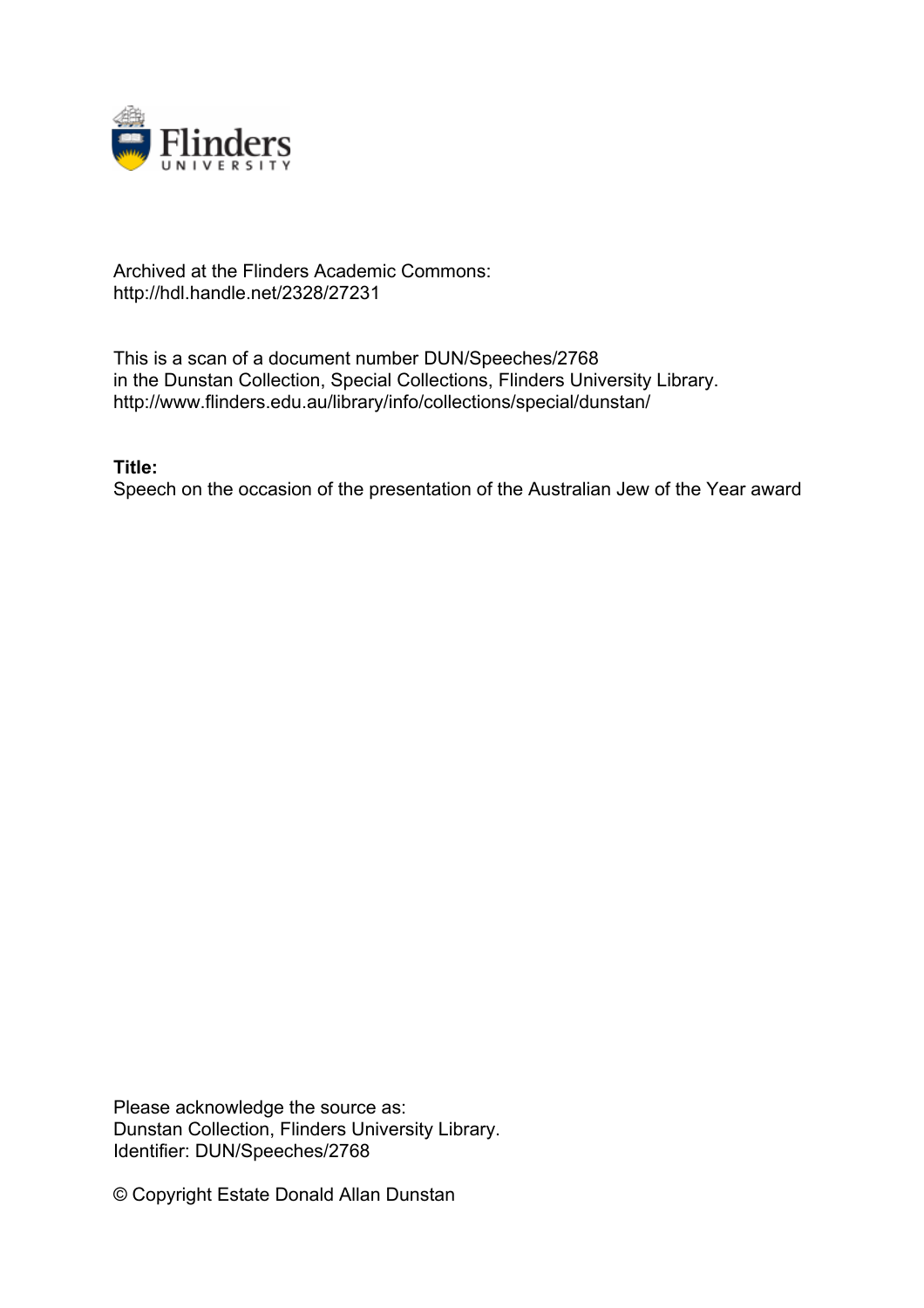

## Archived at the Flinders Academic Commons: http://hdl.handle.net/2328/27231

This is a scan of a document number DUN/Speeches/2768 in the Dunstan Collection, Special Collections, Flinders University Library. http://www.flinders.edu.au/library/info/collections/special/dunstan/

## **Title:**

Speech on the occasion of the presentation of the Australian Jew of the Year award

Please acknowledge the source as: Dunstan Collection, Flinders University Library. Identifier: DUN/Speeches/2768

© Copyright Estate Donald Allan Dunstan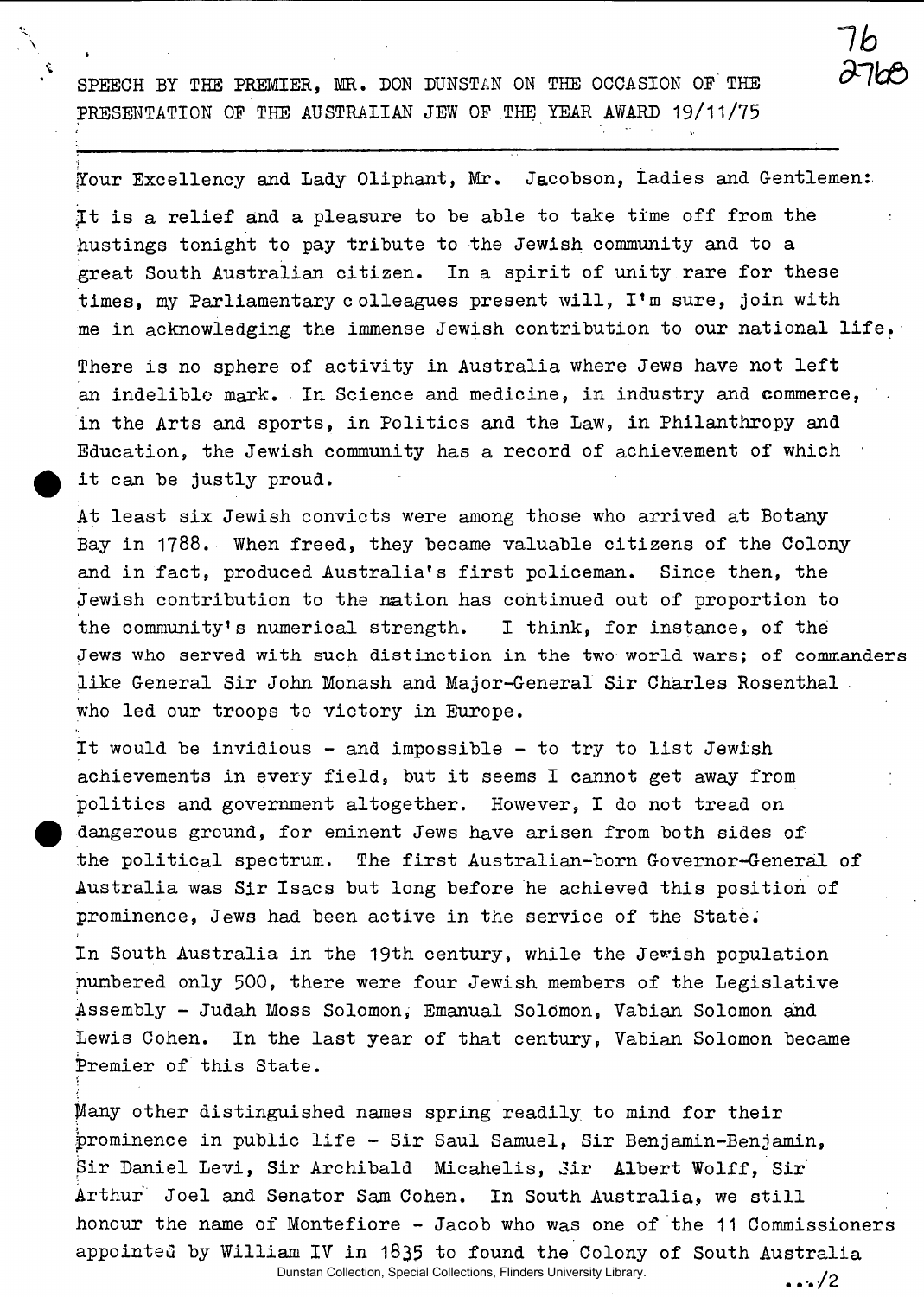SPEECH BY THE PREMIER, MR. DON DUNSTAN ON THE OCCASION OF THE PRESENTATION OP THE AUSTRALIAN JEW OF THE YEAR AWARD 19/11/75

Your Excellency and Lady Oliphant, Mr. Jacobson, Ladies and Gentlemen: It is a relief and a pleasure to be able to take time off from the hustings tonight to pay tribute to the Jewish community and to a great South Australian citizen. In a spirit of unity.rare for these times, my Parliamentary colleagues present will, I'm sure, join with me in acknowledging the immense Jewish contribution to our national life.

*dnkf)* 

7h

 $\cdots/2$ 

There is no sphere of activity in Australia where Jews have not left an indelible mark. In Science and medicine, in industry and commerce, in the Arts and sports, in Politics and the Law, in Philanthropy and Education, the Jewish community has a record of achievement of which it can be justly proud.

At least six Jewish convicts were among those who arrived at Botany Bay in 1788. When freed, they became valuable citizens of the Colony and in fact, produced Australia's first policeman. Since then, the Jewish contribution to the nation has continued out of proportion to the community's numerical strength. I think, for instance, of the **Jews** who served with such distinction in the two world **wars;** of commanders like General Sir John Monash and Major-General Sir Charles Rosenthal who led our troops to victory in Europe.

It would be invidious - and impossible - to try to list Jewish achievements in every field, but it seems I cannot get away from politics and government altogether. However, I do not tread on dangerous ground, for eminent Jews have arisen from both sides of the political spectrum. The first Australian-born Governor-General of Australia was Sir Isacs but long before he achieved this position of prominence, Jews had been active in the service of the State.

In South Australia in the 19th century, while the Jewish population numbered only 500, there were four Jewish members of the Legislative Assembly - Judah Moss Solomon, Emanual Soldmon, Vabian Solomon and Lewis Cohen. In the last year of that century, Vabian Solomon became Premier of this State.

Many other distinguished names spring readily to mind for their prominence in public life - Sir Saul Samuel, Sir Benjamin-Benjamin, Sir Daniel Levi, Sir Archibald Micahelis, Jir Albert Wolff, Sir Arthur Joel and Senator Sam Cohen. In South Australia, we still honour the name of Montefiore - Jacob who was one of the 11 Commissioners appointed by William IV in 1835 to found the Colony of South Australia

Dunstan Collection, Special Collections, Flinders University Library.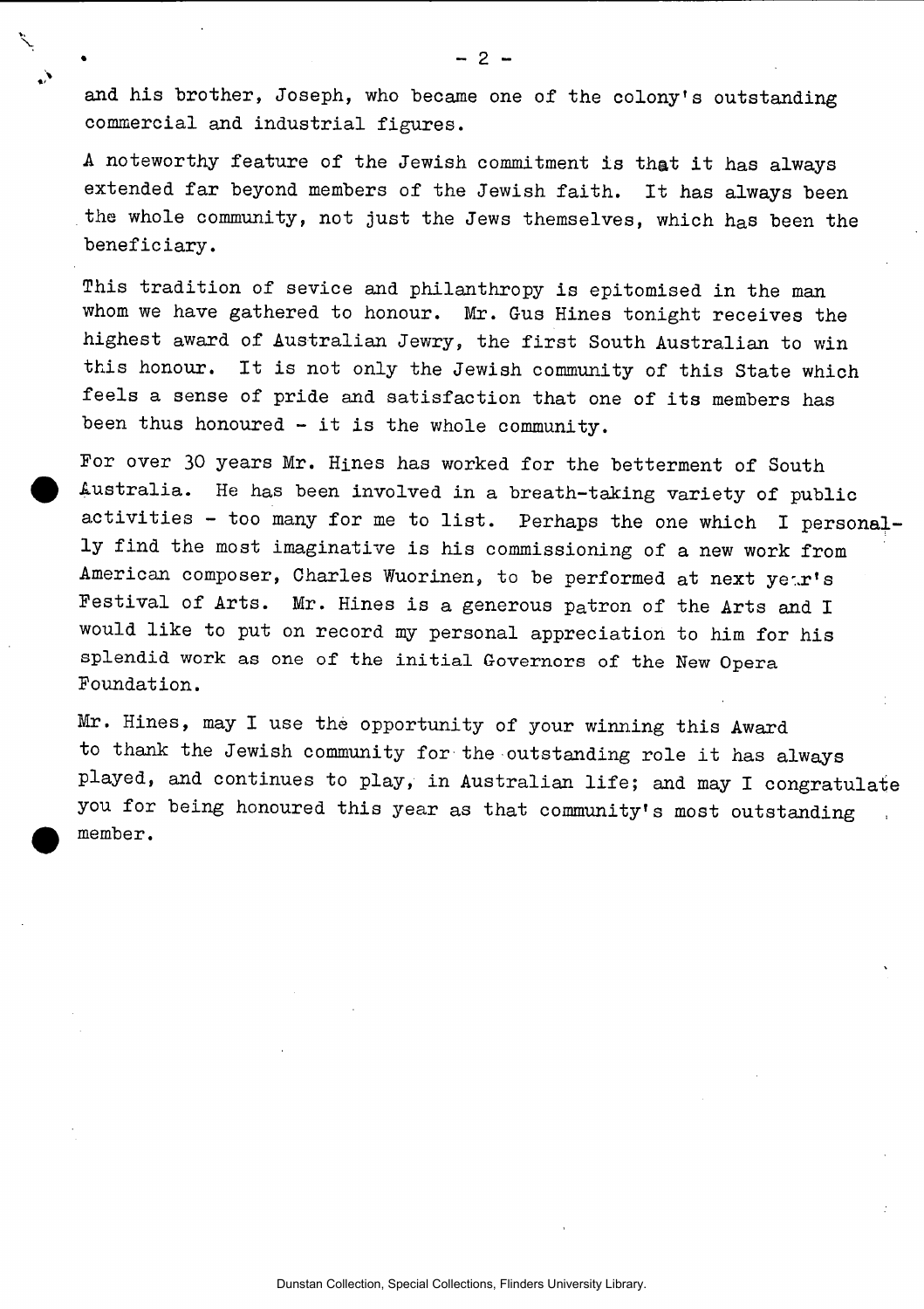and his brother, Joseph, who became one of the colony's outstanding commercial and industrial figures.

A noteworthy feature of the Jewish commitment is that it has always extended far beyond members of the Jewish faith. It has always been the whole community, not just the Jews themselves, which has been the beneficiary.

This tradition of sevice and philanthropy is epitomised in the man whom we have gathered to honour. Mr. Gus Hines tonight receives the highest award of Australian Jewry, the first South Australian to win this honour. It is not only the Jewish community of this State which feels a sense of pride and satisfaction that one of its members has been thus honoured - it is the whole community.

For over 30 years Mr. Hines has worked for the betterment of South Australia. He has been involved in a breath-taking variety of public activities - too many for me to list. Perhaps the one which I personally find the most imaginative is his commissioning of a new work from American composer, Charles Wuorinen, to be performed at next year's Festival of Arts. Mr. Hines is a generous patron of the Arts and I would like to put on record my personal appreciation to him for his splendid work as one of the initial **Governors** of the New Opera Foundation.

Mr. Hines, may I use the opportunity of your winning this Award to thank the Jewish community for the outstanding role it has always played, and continues to play, in Australian life; and may I congratulate you for being honoured this year as that community's most outstanding member.

Dunstan Collection, Special Collections, Flinders University Library.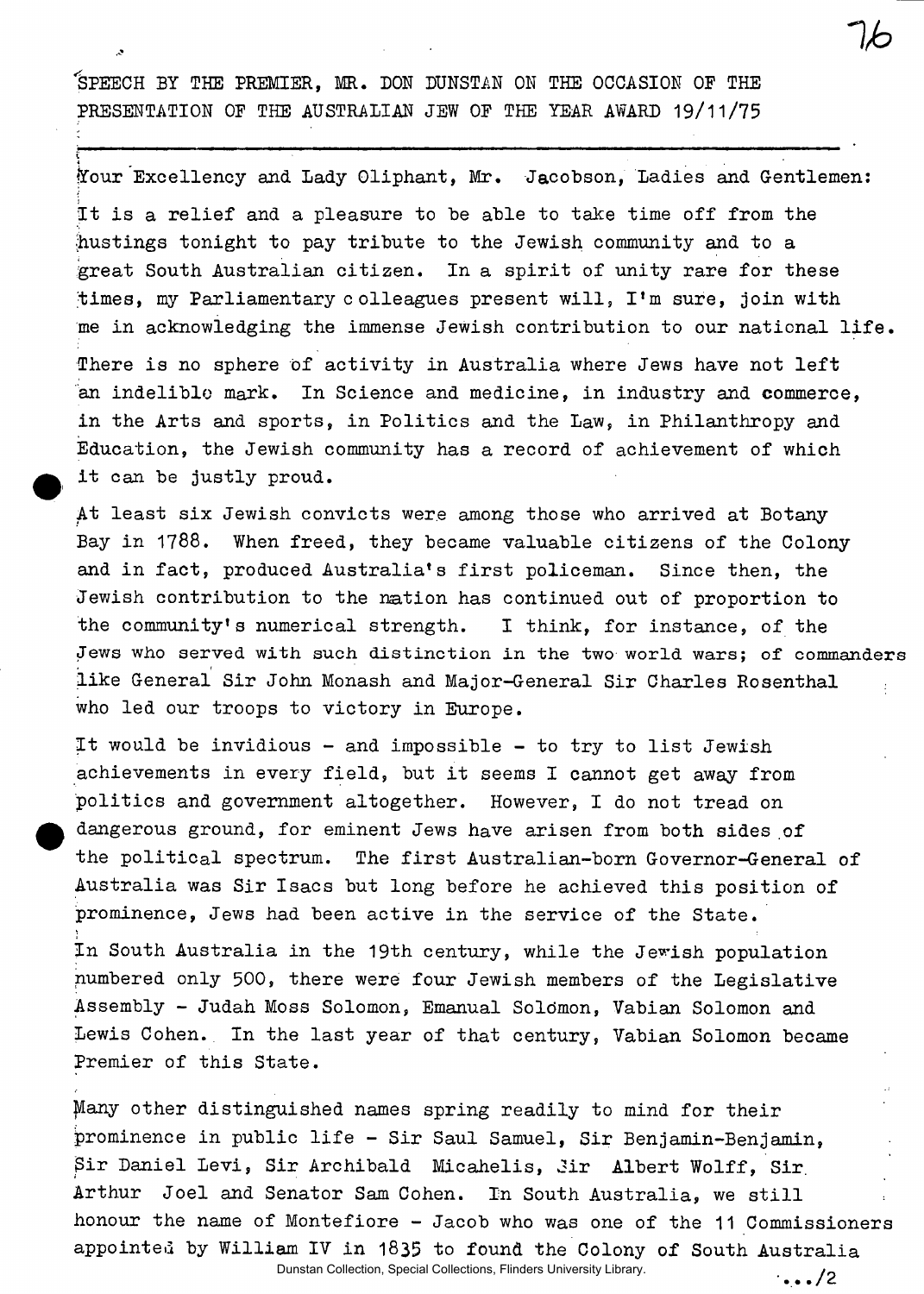'S**PEECH BY THE PREMIER, MR. DON DUNSTAN ON THE OCCASION OF THE PRESENTATION OF THE AUSTRALIAN JEW OF THE YEAR AWARD** 19/11/75

lYour Excellency and Lady Oliphant, Mr. Jacobson, Ladies and Gentlemen: It is a relief and a pleasure to be able to take time off from the (hustings tonight to pay tribute to the Jewish community and to a great South Australian citizen. In a spirit of unity rare for these times, my Parliamentary colleagues present will, I'm sure, join with me in acknowledging the immense Jewish contribution to our national life. There is no sphere of activity in Australia where Jews have not left an indelible mark. In Science and medicine, in industry and commerce, in the Arts and sports, in Politics and the Law, in Philanthropy and Education, the Jewish community has a record of achievement of which it can be justly proud.

At least six Jewish convicts were among those who arrived at Botany Bay in 1788. When freed, they became valuable citizens of the Colony and in fact, produced Australia's first policeman. Since then, the Jewish contribution to the nation has continued out of proportion to the community's numerical strength. I think, for instance, of the Jews **who** served **with** such **distinction in the two world wars;** of **commanders**  like General Sir John Monash and Major-General Sir Charles Rosenthal who led our troops to victory in Europe.

It would be invidious - and impossible - to try to list Jewish achievements in every field, but it seems I cannot get away from politics and government altogether. However, I do not tread on dangerous ground, for eminent Jews have arisen from both sides of the political spectrum. The first Australian-born Governor-General of Australia was Sir Isacs but long before he achieved this position of prominence, Jews had been active in the service of the State.

In South Australia in the 19th century, while the Jewish population numbered only 500, there were four Jewish members of the Legislative Assembly - Judah Moss Solomon, Emanual Solomon, Vabian Solomon and Lewis Cohen. In the last year of that century, Vabian Solomon became Premier of this State.

Many other distinguished names spring readily to mind for their prominence in public life - Sir Saul Samuel, Sir Benjamin-Benjamin, \$ir Daniel Levi, Sir Archibald Micahelis, Jir Albert Wolff, Sir. Arthur Joel and Senator Sam Cohen. In South Australia, we still honour the name of Montefiore — Jacob who was one of the 11 Commissioners appointed by William IV in 1835 to found the Colony of South Australia Dunstan Collection, Special Collections, Flinders University Library.

 $\cdot \cdot \cdot$ /2